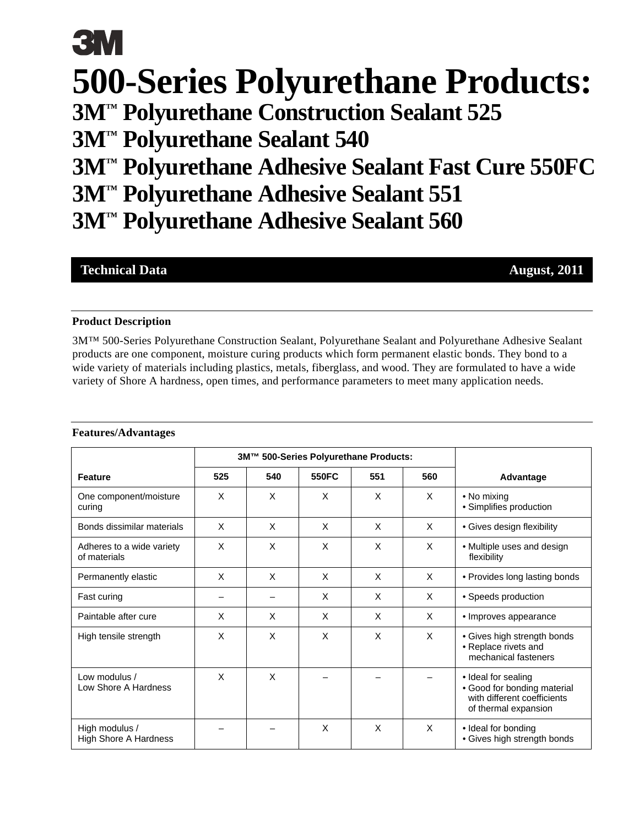# **3M 500-Series Polyurethane Products: 3M™ Polyurethane Construction Sealant 525 3M™ Polyurethane Sealant 540 3M™ Polyurethane Adhesive Sealant Fast Cure 550FC 3M™ Polyurethane Adhesive Sealant 551 3M™ Polyurethane Adhesive Sealant 560**

### **Technical Data** August, 2011

#### **Product Description**

3M™ 500-Series Polyurethane Construction Sealant, Polyurethane Sealant and Polyurethane Adhesive Sealant products are one component, moisture curing products which form permanent elastic bonds. They bond to a wide variety of materials including plastics, metals, fiberglass, and wood. They are formulated to have a wide variety of Shore A hardness, open times, and performance parameters to meet many application needs.

#### **Features/Advantages**

|                                                | 3M™ 500-Series Polyurethane Products: |     |       |     |     |                                                                                                           |
|------------------------------------------------|---------------------------------------|-----|-------|-----|-----|-----------------------------------------------------------------------------------------------------------|
| <b>Feature</b>                                 | 525                                   | 540 | 550FC | 551 | 560 | Advantage                                                                                                 |
| One component/moisture<br>curing               | X                                     | X   | X     | X   | X   | • No mixing<br>• Simplifies production                                                                    |
| Bonds dissimilar materials                     | X                                     | X   | X     | X   | X   | • Gives design flexibility                                                                                |
| Adheres to a wide variety<br>of materials      | X                                     | X   | X     | X   | X   | • Multiple uses and design<br>flexibility                                                                 |
| Permanently elastic                            | X                                     | X   | X     | X   | X   | • Provides long lasting bonds                                                                             |
| Fast curing                                    |                                       |     | X     | X   | X   | • Speeds production                                                                                       |
| Paintable after cure                           | X                                     | X   | X     | X   | X   | · Improves appearance                                                                                     |
| High tensile strength                          | X                                     | X   | X     | X   | X   | • Gives high strength bonds<br>• Replace rivets and<br>mechanical fasteners                               |
| Low modulus /<br>Low Shore A Hardness          | X                                     | X   |       |     |     | · Ideal for sealing<br>• Good for bonding material<br>with different coefficients<br>of thermal expansion |
| High modulus /<br><b>High Shore A Hardness</b> |                                       |     | X     | X   | X   | · Ideal for bonding<br>• Gives high strength bonds                                                        |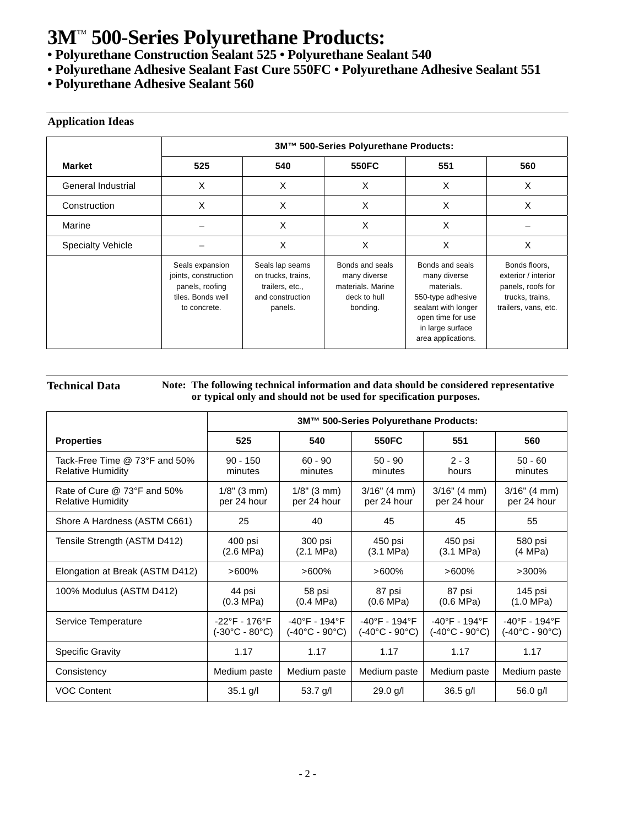**• Polyurethane Construction Sealant 525 • Polyurethane Sealant 540**

- **Polyurethane Adhesive Sealant Fast Cure 550FC Polyurethane Adhesive Sealant 551**
- **Polyurethane Adhesive Sealant 560**

#### **Application Ideas**

|                          | 3M™ 500-Series Polyurethane Products:                                                           |                                                                                         |                                                                                  |                                                                                                                                                          |                                                                                                      |
|--------------------------|-------------------------------------------------------------------------------------------------|-----------------------------------------------------------------------------------------|----------------------------------------------------------------------------------|----------------------------------------------------------------------------------------------------------------------------------------------------------|------------------------------------------------------------------------------------------------------|
| <b>Market</b>            | 525                                                                                             | 540                                                                                     | 550FC                                                                            | 551                                                                                                                                                      | 560                                                                                                  |
| General Industrial       | X                                                                                               | X                                                                                       | X                                                                                | X                                                                                                                                                        | X                                                                                                    |
| Construction             | X                                                                                               | X                                                                                       | X                                                                                | X                                                                                                                                                        | X                                                                                                    |
| Marine                   |                                                                                                 | X                                                                                       | X                                                                                | X                                                                                                                                                        |                                                                                                      |
| <b>Specialty Vehicle</b> |                                                                                                 | X                                                                                       | X                                                                                | X                                                                                                                                                        | X                                                                                                    |
|                          | Seals expansion<br>joints, construction<br>panels, roofing<br>tiles. Bonds well<br>to concrete. | Seals lap seams<br>on trucks, trains,<br>trailers, etc.,<br>and construction<br>panels. | Bonds and seals<br>many diverse<br>materials. Marine<br>deck to hull<br>bonding. | Bonds and seals<br>many diverse<br>materials.<br>550-type adhesive<br>sealant with longer<br>open time for use<br>in large surface<br>area applications. | Bonds floors,<br>exterior / interior<br>panels, roofs for<br>trucks, trains,<br>trailers, vans, etc. |

#### **Technical Data Note: The following technical information and data should be considered representative or typical only and should not be used for specification purposes.**

|                                                           | 3M™ 500-Series Polyurethane Products:           |                                                                      |                                                                      |                                                                      |                                                                      |  |  |
|-----------------------------------------------------------|-------------------------------------------------|----------------------------------------------------------------------|----------------------------------------------------------------------|----------------------------------------------------------------------|----------------------------------------------------------------------|--|--|
| <b>Properties</b>                                         | 525                                             | 540                                                                  | 550FC                                                                | 551                                                                  | 560                                                                  |  |  |
| Tack-Free Time @ 73°F and 50%<br><b>Relative Humidity</b> | $90 - 150$<br>minutes                           | $60 - 90$<br>minutes                                                 | $50 - 90$<br>minutes                                                 | $2 - 3$<br>hours                                                     | $50 - 60$<br>minutes                                                 |  |  |
| Rate of Cure @ 73°F and 50%<br><b>Relative Humidity</b>   | $1/8$ " (3 mm)<br>per 24 hour                   | $1/8$ " (3 mm)<br>per 24 hour                                        | $3/16$ " (4 mm)<br>per 24 hour                                       | $3/16$ " (4 mm)<br>per 24 hour                                       | $3/16"$ (4 mm)<br>per 24 hour                                        |  |  |
| Shore A Hardness (ASTM C661)                              | 25                                              | 40                                                                   | 45                                                                   | 45                                                                   | 55                                                                   |  |  |
| Tensile Strength (ASTM D412)                              | 400 psi<br>$(2.6 \text{ MPa})$                  | 300 psi<br>$(2.1 \text{ MPa})$                                       | 450 psi<br>$(3.1 \text{ MPa})$                                       | 450 psi<br>$(3.1 \text{ MPa})$                                       | 580 psi<br>(4 MPa)                                                   |  |  |
| Elongation at Break (ASTM D412)                           | $>600\%$                                        | $>600\%$                                                             | $>600\%$                                                             | $>600\%$                                                             | $>300\%$                                                             |  |  |
| 100% Modulus (ASTM D412)                                  | 44 psi<br>(0.3 MPa)                             | 58 psi<br>$(0.4 \text{ MPa})$                                        | 87 psi<br>$(0.6 \text{ MPa})$                                        | 87 psi<br>$(0.6 \text{ MPa})$                                        | 145 psi<br>(1.0 MPa)                                                 |  |  |
| Service Temperature                                       | -22°F - 176°F<br>$(-30^{\circ}C - 80^{\circ}C)$ | $-40^{\circ}$ F - 194 $^{\circ}$ F<br>$(-40^{\circ}C - 90^{\circ}C)$ | $-40^{\circ}$ F - 194 $^{\circ}$ F<br>$(-40^{\circ}C - 90^{\circ}C)$ | $-40^{\circ}$ F - 194 $^{\circ}$ F<br>$(-40^{\circ}C - 90^{\circ}C)$ | $-40^{\circ}$ F - 194 $^{\circ}$ F<br>$(-40^{\circ}C - 90^{\circ}C)$ |  |  |
| <b>Specific Gravity</b>                                   | 1.17                                            | 1.17                                                                 | 1.17                                                                 | 1.17                                                                 | 1.17                                                                 |  |  |
| Consistency                                               | Medium paste                                    | Medium paste                                                         | Medium paste                                                         | Medium paste                                                         | Medium paste                                                         |  |  |
| <b>VOC Content</b>                                        | $35.1$ g/l                                      | 53.7 g/l                                                             | $29.0$ g/l                                                           | $36.5$ g/l                                                           | 56.0 g/l                                                             |  |  |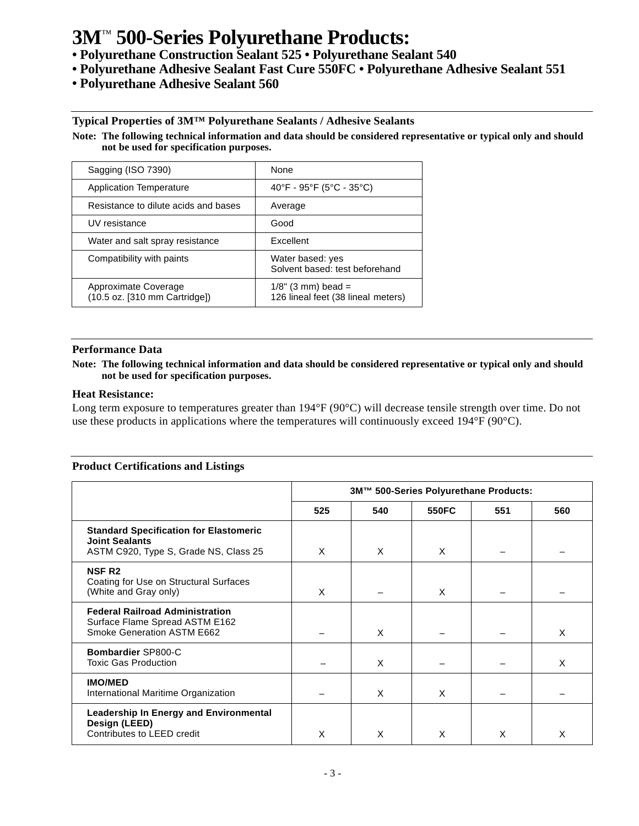- **Polyurethane Construction Sealant 525 Polyurethane Sealant 540**
- **Polyurethane Adhesive Sealant Fast Cure 550FC Polyurethane Adhesive Sealant 551**
- **Polyurethane Adhesive Sealant 560**

#### **Typical Properties of 3M™ Polyurethane Sealants / Adhesive Sealants**

**Note: The following technical information and data should be considered representative or typical only and should not be used for specification purposes.**

| Sagging (ISO 7390)                                    | None                                                        |
|-------------------------------------------------------|-------------------------------------------------------------|
| <b>Application Temperature</b>                        | 40°F - 95°F (5°C - 35°C)                                    |
| Resistance to dilute acids and bases                  | Average                                                     |
| UV resistance                                         | Good                                                        |
| Water and salt spray resistance                       | Excellent                                                   |
| Compatibility with paints                             | Water based: yes<br>Solvent based: test beforehand          |
| Approximate Coverage<br>(10.5 oz. [310 mm Cartridge]) | $1/8$ " (3 mm) bead =<br>126 lineal feet (38 lineal meters) |

#### **Performance Data**

#### **Note: The following technical information and data should be considered representative or typical only and should not be used for specification purposes.**

#### **Heat Resistance:**

Long term exposure to temperatures greater than 194°F (90°C) will decrease tensile strength over time. Do not use these products in applications where the temperatures will continuously exceed 194°F (90°C).

#### **Product Certifications and Listings**

|                                                                                                                 | 3M™ 500-Series Polyurethane Products: |     |       |     |     |
|-----------------------------------------------------------------------------------------------------------------|---------------------------------------|-----|-------|-----|-----|
|                                                                                                                 | 525                                   | 540 | 550FC | 551 | 560 |
| <b>Standard Specification for Elastomeric</b><br><b>Joint Sealants</b><br>ASTM C920, Type S, Grade NS, Class 25 | X                                     | X   | X     |     |     |
| <b>NSF R2</b><br>Coating for Use on Structural Surfaces<br>(White and Gray only)                                | X                                     |     | X     |     |     |
| <b>Federal Railroad Administration</b><br>Surface Flame Spread ASTM E162<br>Smoke Generation ASTM E662          |                                       | X   |       |     | X   |
| <b>Bombardier SP800-C</b><br>Toxic Gas Production                                                               |                                       | X   |       |     | X   |
| <b>IMO/MED</b><br>International Maritime Organization                                                           |                                       | X   | X     |     |     |
| <b>Leadership In Energy and Environmental</b><br>Design (LEED)<br>Contributes to LEED credit                    | X                                     | X   | X     | X   | X   |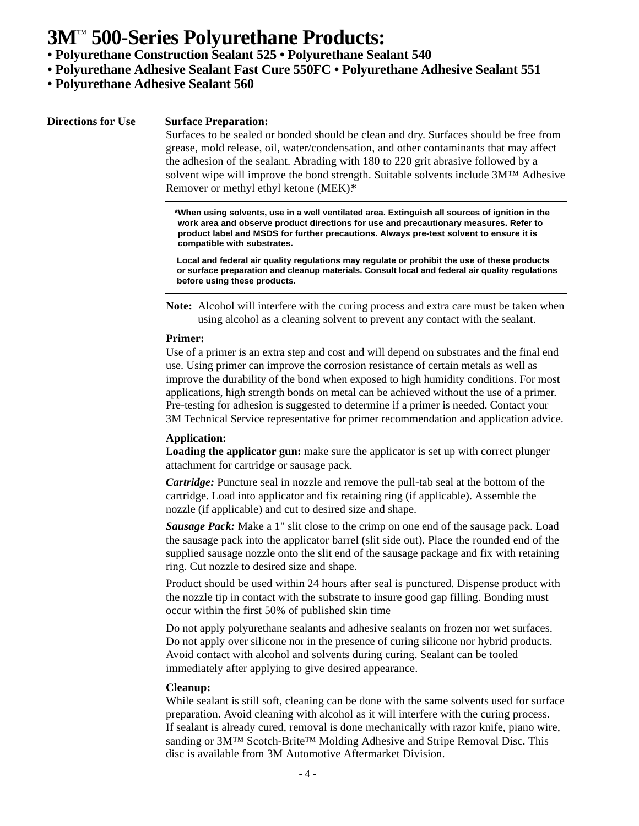**• Polyurethane Construction Sealant 525 • Polyurethane Sealant 540**

- **Polyurethane Adhesive Sealant Fast Cure 550FC Polyurethane Adhesive Sealant 551**
- **Polyurethane Adhesive Sealant 560**

| <b>Directions for Use</b> |  |  |  |
|---------------------------|--|--|--|
|---------------------------|--|--|--|

#### **Surface Preparation:**

Surfaces to be sealed or bonded should be clean and dry. Surfaces should be free from grease, mold release, oil, water/condensation, and other contaminants that may affect the adhesion of the sealant. Abrading with 180 to 220 grit abrasive followed by a solvent wipe will improve the bond strength. Suitable solvents include 3M™ Adhesive Remover or methyl ethyl ketone (MEK).**\***

**\*When using solvents, use in a well ventilated area. Extinguish all sources of ignition in the work area and observe product directions for use and precautionary measures. Refer to product label and MSDS for further precautions. Always pre-test solvent to ensure it is compatible with substrates.**

**Local and federal air quality regulations may regulate or prohibit the use of these products or surface preparation and cleanup materials. Consult local and federal air quality regulations before using these products.**

**Note:** Alcohol will interfere with the curing process and extra care must be taken when using alcohol as a cleaning solvent to prevent any contact with the sealant.

#### **Primer:**

Use of a primer is an extra step and cost and will depend on substrates and the final end use. Using primer can improve the corrosion resistance of certain metals as well as improve the durability of the bond when exposed to high humidity conditions. For most applications, high strength bonds on metal can be achieved without the use of a primer. Pre-testing for adhesion is suggested to determine if a primer is needed. Contact your 3M Technical Service representative for primer recommendation and application advice.

#### **Application:**

L**oading the applicator gun:** make sure the applicator is set up with correct plunger attachment for cartridge or sausage pack.

*Cartridge:* Puncture seal in nozzle and remove the pull-tab seal at the bottom of the cartridge. Load into applicator and fix retaining ring (if applicable). Assemble the nozzle (if applicable) and cut to desired size and shape.

*Sausage Pack:* Make a 1" slit close to the crimp on one end of the sausage pack. Load the sausage pack into the applicator barrel (slit side out). Place the rounded end of the supplied sausage nozzle onto the slit end of the sausage package and fix with retaining ring. Cut nozzle to desired size and shape.

Product should be used within 24 hours after seal is punctured. Dispense product with the nozzle tip in contact with the substrate to insure good gap filling. Bonding must occur within the first 50% of published skin time

Do not apply polyurethane sealants and adhesive sealants on frozen nor wet surfaces. Do not apply over silicone nor in the presence of curing silicone nor hybrid products. Avoid contact with alcohol and solvents during curing. Sealant can be tooled immediately after applying to give desired appearance.

#### **Cleanup:**

While sealant is still soft, cleaning can be done with the same solvents used for surface preparation. Avoid cleaning with alcohol as it will interfere with the curing process. If sealant is already cured, removal is done mechanically with razor knife, piano wire, sanding or 3M™ Scotch-Brite™ Molding Adhesive and Stripe Removal Disc. This disc is available from 3M Automotive Aftermarket Division.